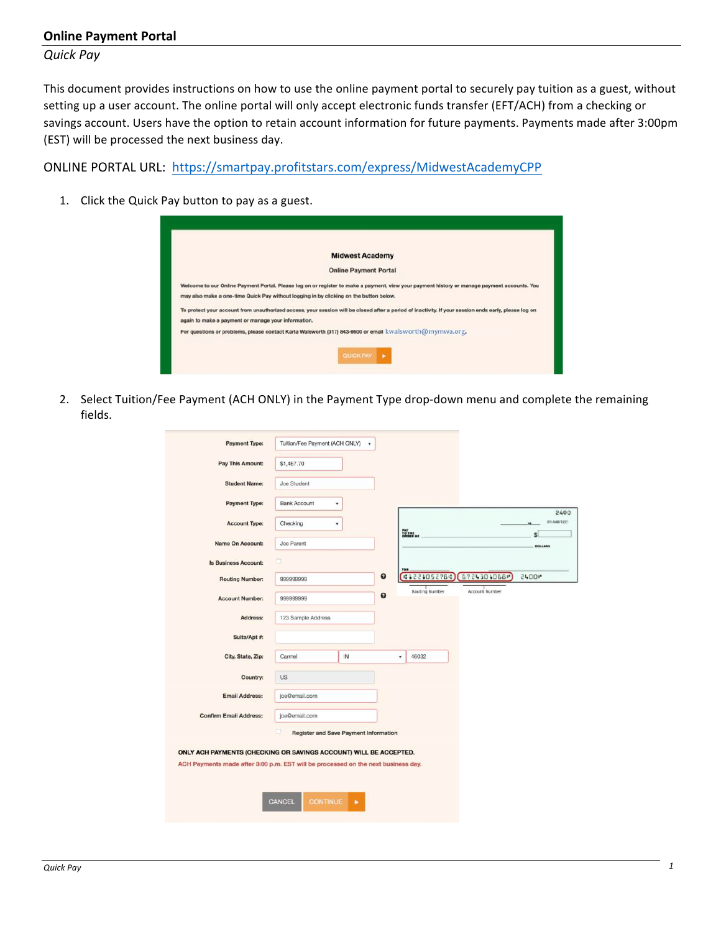## **Online Payment Portal**

*Quick Pay*

This document provides instructions on how to use the online payment portal to securely pay tuition as a guest, without setting up a user account. The online portal will only accept electronic funds transfer (EFT/ACH) from a checking or savings account. Users have the option to retain account information for future payments. Payments made after 3:00pm (EST) will be processed the next business day.

ONLINE PORTAL URL: https://smartpay.profitstars.com/express/MidwestAcademyCPP

1. Click the Quick Pay button to pay as a guest.

| <b>Midwest Academy</b>                                                                                                                                |
|-------------------------------------------------------------------------------------------------------------------------------------------------------|
| <b>Online Payment Portal</b>                                                                                                                          |
| Welcome to our Online Payment Portal. Please log on or register to make a payment, view your payment history or manage payment accounts. You          |
| may also make a one-time Quick Pay without logging in by clicking on the button below.                                                                |
| To protect your account from unauthorized access, your session will be closed after a period of inactivity. If your session ends early, please log on |
| again to make a payment or manage your information.                                                                                                   |
| For questions or problems, please contact Karla Walsworth (317) 843-9500 or email kwalsworth@mymwa.org.                                               |
| QUICK PAY                                                                                                                                             |

2. Select Tuition/Fee Payment (ACH ONLY) in the Payment Type drop-down menu and complete the remaining fields.

| <b>Payment Type:</b>          | Tuition/Fee Payment (ACH ONLY) | ۰  |                                 |                       |                     |
|-------------------------------|--------------------------------|----|---------------------------------|-----------------------|---------------------|
| Pay This Amount:              | \$1,467.70                     |    |                                 |                       |                     |
| <b>Student Name:</b>          | <b>Joe Student</b>             |    |                                 |                       |                     |
| <b>Payment Type:</b>          | <b>Bank Account</b>            | ۰  |                                 |                       |                     |
| <b>Account Type:</b>          | Checking                       | ۰  |                                 |                       | 2400<br>91-548/1221 |
| Name On Account:              | Joe Parent                     |    | TO THE OF                       |                       | \$<br>DOLLARS       |
| <b>Is Business Account:</b>   | $\Box$                         |    |                                 |                       |                     |
| <b>Routing Number:</b>        | 999999999                      |    | FOR<br>$\bullet$<br>01221052760 | 6724301068*           | <b>2400*</b>        |
| <b>Account Number:</b>        | 999999999                      |    | Routing Number<br>๏             | <b>Account Number</b> |                     |
| Address:                      | 123 Sample Address             |    |                                 |                       |                     |
| Suite/Apt #:                  |                                |    |                                 |                       |                     |
| City, State, Zip:             | Carmel                         | IN | 46032<br>۰                      |                       |                     |
| Country:                      | <b>US</b>                      |    |                                 |                       |                     |
| <b>Email Address:</b>         | joe@email.com                  |    |                                 |                       |                     |
|                               |                                |    |                                 |                       |                     |
| <b>Confirm Email Address:</b> | joe@email.com                  |    |                                 |                       |                     |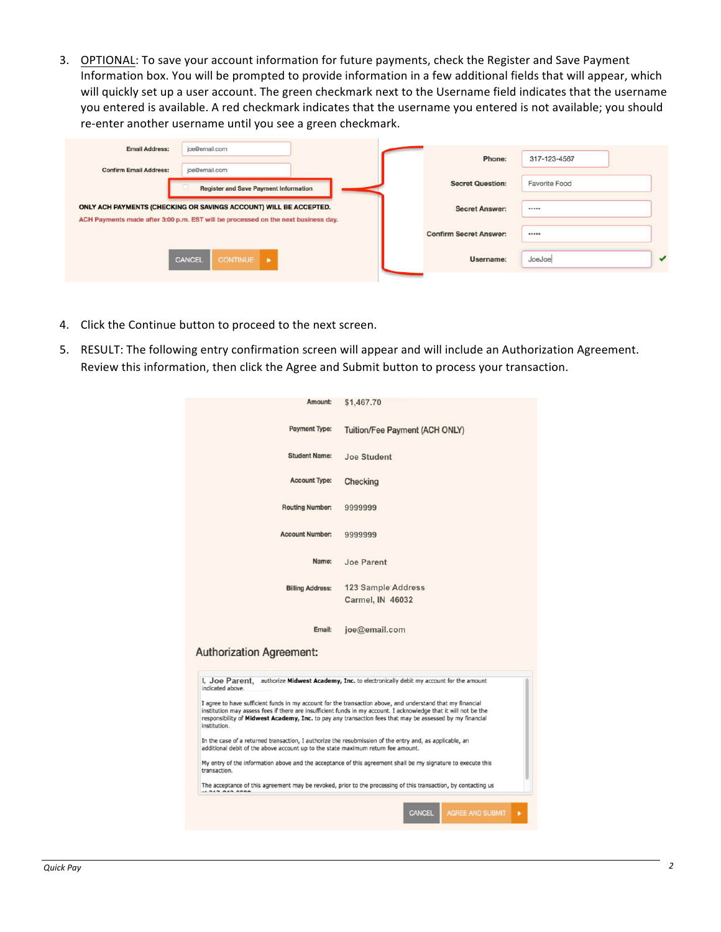3. OPTIONAL: To save your account information for future payments, check the Register and Save Payment Information box. You will be prompted to provide information in a few additional fields that will appear, which will quickly set up a user account. The green checkmark next to the Username field indicates that the username you entered is available. A red checkmark indicates that the username you entered is not available; you should re-enter another username until you see a green checkmark.

| <b>Email Address:</b>         | joe@email.com                                                                                                                                          | Phone:                        | 317-123-4567  |
|-------------------------------|--------------------------------------------------------------------------------------------------------------------------------------------------------|-------------------------------|---------------|
| <b>Confirm Email Address:</b> | joe@email.com                                                                                                                                          |                               |               |
|                               | <b>Register and Save Payment Information</b>                                                                                                           | <b>Secret Question:</b>       | Favorite Food |
|                               | ONLY ACH PAYMENTS (CHECKING OR SAVINGS ACCOUNT) WILL BE ACCEPTED.<br>ACH Payments made after 3:00 p.m. EST will be processed on the next business day. | <b>Secret Answer:</b>         |               |
|                               |                                                                                                                                                        | <b>Confirm Secret Answer:</b> |               |
|                               | CONTINUE D<br>CANCEL                                                                                                                                   | Username:                     | JoeJoe        |

- 4. Click the Continue button to proceed to the next screen.
- 5. RESULT: The following entry confirmation screen will appear and will include an Authorization Agreement. Review this information, then click the Agree and Submit button to process your transaction.

| Amount:                                                                                                                                                                                                                                                                                              |                                                                                                                                                                                                                                                                                                                                            |
|------------------------------------------------------------------------------------------------------------------------------------------------------------------------------------------------------------------------------------------------------------------------------------------------------|--------------------------------------------------------------------------------------------------------------------------------------------------------------------------------------------------------------------------------------------------------------------------------------------------------------------------------------------|
|                                                                                                                                                                                                                                                                                                      | \$1,467.70                                                                                                                                                                                                                                                                                                                                 |
| <b>Payment Type:</b>                                                                                                                                                                                                                                                                                 | Tuition/Fee Payment (ACH ONLY)                                                                                                                                                                                                                                                                                                             |
| <b>Student Name:</b>                                                                                                                                                                                                                                                                                 | Joe Student                                                                                                                                                                                                                                                                                                                                |
| <b>Account Type:</b>                                                                                                                                                                                                                                                                                 | Checking                                                                                                                                                                                                                                                                                                                                   |
| <b>Routing Number:</b>                                                                                                                                                                                                                                                                               | 9999999                                                                                                                                                                                                                                                                                                                                    |
| <b>Account Number:</b>                                                                                                                                                                                                                                                                               | 9999999                                                                                                                                                                                                                                                                                                                                    |
| Name:                                                                                                                                                                                                                                                                                                | Joe Parent                                                                                                                                                                                                                                                                                                                                 |
| <b>Billing Address:</b>                                                                                                                                                                                                                                                                              | 123 Sample Address                                                                                                                                                                                                                                                                                                                         |
|                                                                                                                                                                                                                                                                                                      | Carmel, IN 46032                                                                                                                                                                                                                                                                                                                           |
|                                                                                                                                                                                                                                                                                                      |                                                                                                                                                                                                                                                                                                                                            |
| Email:                                                                                                                                                                                                                                                                                               | joe@email.com                                                                                                                                                                                                                                                                                                                              |
|                                                                                                                                                                                                                                                                                                      |                                                                                                                                                                                                                                                                                                                                            |
|                                                                                                                                                                                                                                                                                                      | authorize Midwest Academy, Inc. to electronically debit my account for the amount                                                                                                                                                                                                                                                          |
|                                                                                                                                                                                                                                                                                                      | I agree to have sufficient funds in my account for the transaction above, and understand that my financial<br>institution may assess fees if there are insufficient funds in my account. I acknowledge that it will not be the<br>responsibility of Midwest Academy, Inc. to pay any transaction fees that may be assessed by my financial |
|                                                                                                                                                                                                                                                                                                      |                                                                                                                                                                                                                                                                                                                                            |
| <b>Authorization Agreement:</b><br>I, Joe Parent.<br>indicated above.<br>institution.<br>In the case of a returned transaction, I authorize the resubmission of the entry and, as applicable, an<br>additional debit of the above account up to the state maximum return fee amount.<br>transaction. | My entry of the information above and the acceptance of this agreement shall be my signature to execute this                                                                                                                                                                                                                               |